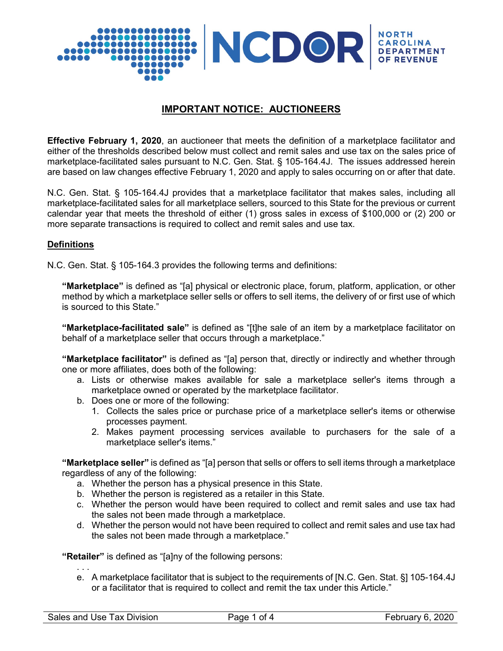

# **IMPORTANT NOTICE: AUCTIONEERS**

**Effective February 1, 2020**, an auctioneer that meets the definition of a marketplace facilitator and either of the thresholds described below must collect and remit sales and use tax on the sales price of marketplace-facilitated sales pursuant to N.C. Gen. Stat. § 105-164.4J. The issues addressed herein are based on law changes effective February 1, 2020 and apply to sales occurring on or after that date.

N.C. Gen. Stat. § 105-164.4J provides that a marketplace facilitator that makes sales, including all marketplace-facilitated sales for all marketplace sellers, sourced to this State for the previous or current calendar year that meets the threshold of either (1) gross sales in excess of \$100,000 or (2) 200 or more separate transactions is required to collect and remit sales and use tax.

#### **Definitions**

N.C. Gen. Stat. § 105-164.3 provides the following terms and definitions:

**"Marketplace"** is defined as "[a] physical or electronic place, forum, platform, application, or other method by which a marketplace seller sells or offers to sell items, the delivery of or first use of which is sourced to this State."

**"Marketplace-facilitated sale"** is defined as "[t]he sale of an item by a marketplace facilitator on behalf of a marketplace seller that occurs through a marketplace."

**"Marketplace facilitator"** is defined as "[a] person that, directly or indirectly and whether through one or more affiliates, does both of the following:

- a. Lists or otherwise makes available for sale a marketplace seller's items through a marketplace owned or operated by the marketplace facilitator.
- b. Does one or more of the following:
	- 1. Collects the sales price or purchase price of a marketplace seller's items or otherwise processes payment.
	- 2. Makes payment processing services available to purchasers for the sale of a marketplace seller's items."

**"Marketplace seller"** is defined as "[a] person that sells or offers to sell items through a marketplace regardless of any of the following:

- a. Whether the person has a physical presence in this State.
- b. Whether the person is registered as a retailer in this State.
- c. Whether the person would have been required to collect and remit sales and use tax had the sales not been made through a marketplace.
- d. Whether the person would not have been required to collect and remit sales and use tax had the sales not been made through a marketplace."

**"Retailer"** is defined as "[a]ny of the following persons:

. . . e. A marketplace facilitator that is subject to the requirements of [N.C. Gen. Stat. §] 105-164.4J or a facilitator that is required to collect and remit the tax under this Article."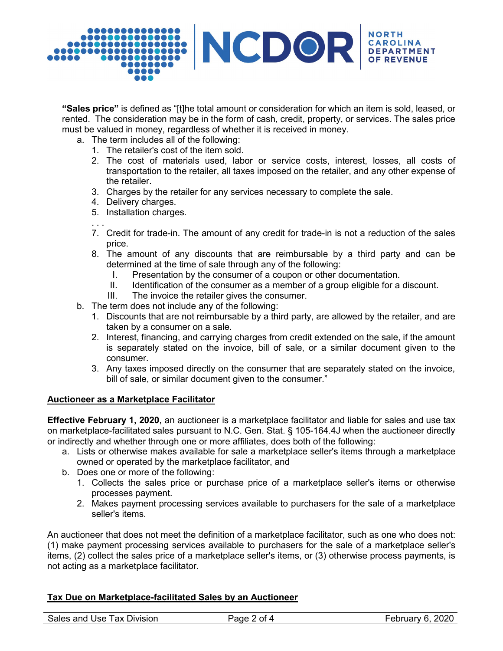

**"Sales price"** is defined as "[t]he total amount or consideration for which an item is sold, leased, or rented. The consideration may be in the form of cash, credit, property, or services. The sales price must be valued in money, regardless of whether it is received in money.

- a. The term includes all of the following:
	- 1. The retailer's cost of the item sold.
	- 2. The cost of materials used, labor or service costs, interest, losses, all costs of transportation to the retailer, all taxes imposed on the retailer, and any other expense of the retailer.
	- 3. Charges by the retailer for any services necessary to complete the sale.
	- 4. Delivery charges.
	- 5. Installation charges.
	- . . . 7. Credit for trade-in. The amount of any credit for trade-in is not a reduction of the sales price.
	- 8. The amount of any discounts that are reimbursable by a third party and can be determined at the time of sale through any of the following:
		- I. Presentation by the consumer of a coupon or other documentation.
		- II. Identification of the consumer as a member of a group eligible for a discount.
		- III. The invoice the retailer gives the consumer.
- b. The term does not include any of the following:
	- 1. Discounts that are not reimbursable by a third party, are allowed by the retailer, and are taken by a consumer on a sale.
	- 2. Interest, financing, and carrying charges from credit extended on the sale, if the amount is separately stated on the invoice, bill of sale, or a similar document given to the consumer.
	- 3. Any taxes imposed directly on the consumer that are separately stated on the invoice, bill of sale, or similar document given to the consumer."

#### **Auctioneer as a Marketplace Facilitator**

**Effective February 1, 2020**, an auctioneer is a marketplace facilitator and liable for sales and use tax on marketplace-facilitated sales pursuant to N.C. Gen. Stat. § 105-164.4J when the auctioneer directly or indirectly and whether through one or more affiliates, does both of the following:

- a. Lists or otherwise makes available for sale a marketplace seller's items through a marketplace owned or operated by the marketplace facilitator, and
- b. Does one or more of the following:
	- 1. Collects the sales price or purchase price of a marketplace seller's items or otherwise processes payment.
	- 2. Makes payment processing services available to purchasers for the sale of a marketplace seller's items.

An auctioneer that does not meet the definition of a marketplace facilitator, such as one who does not: (1) make payment processing services available to purchasers for the sale of a marketplace seller's items, (2) collect the sales price of a marketplace seller's items, or (3) otherwise process payments, is not acting as a marketplace facilitator.

## **Tax Due on Marketplace-facilitated Sales by an Auctioneer**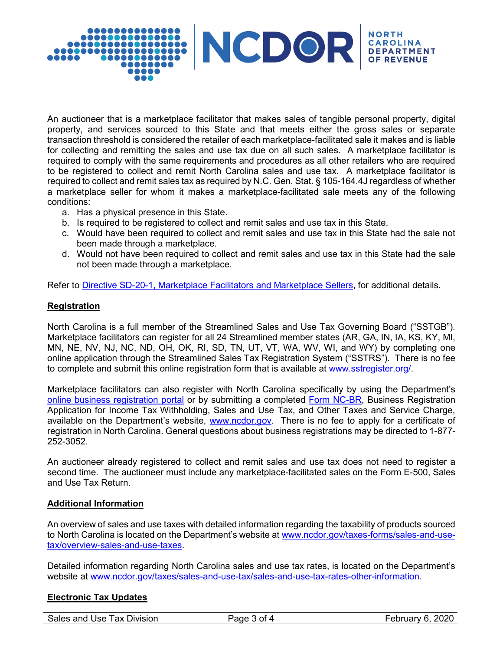

An auctioneer that is a marketplace facilitator that makes sales of tangible personal property, digital property, and services sourced to this State and that meets either the gross sales or separate transaction threshold is considered the retailer of each marketplace-facilitated sale it makes and is liable for collecting and remitting the sales and use tax due on all such sales. A marketplace facilitator is required to comply with the same requirements and procedures as all other retailers who are required to be registered to collect and remit North Carolina sales and use tax. A marketplace facilitator is required to collect and remit sales tax as required by N.C. Gen. Stat. § 105-164.4J regardless of whether a marketplace seller for whom it makes a marketplace-facilitated sale meets any of the following conditions:

- a. Has a physical presence in this State.
- b. Is required to be registered to collect and remit sales and use tax in this State.
- c. Would have been required to collect and remit sales and use tax in this State had the sale not been made through a marketplace.
- d. Would not have been required to collect and remit sales and use tax in this State had the sale not been made through a marketplace.

Refer to [Directive SD-20-1, Marketplace Facilitators and Marketplace Sellers,](https://www.ncdor.gov/documents/sales-and-use-tax-directive-20-1) for additional details.

## **Registration**

North Carolina is a full member of the Streamlined Sales and Use Tax Governing Board ("SSTGB"). Marketplace facilitators can register for all 24 Streamlined member states (AR, GA, IN, IA, KS, KY, MI, MN, NE, NV, NJ, NC, ND, OH, OK, RI, SD, TN, UT, VT, WA, WV, WI, and WY) by completing one online application through the Streamlined Sales Tax Registration System ("SSTRS"). There is no fee to complete and submit this online registration form that is available at [www.sstregister.org/.](http://www.sstregister.org/)

Marketplace facilitators can also register with North Carolina specifically by using the Department's [online business registration portal](https://www.ncdor.gov/taxes-forms/business-registration/online-business-registration) or by submitting a completed [Form NC-BR,](https://www.ncdor.gov/documents/form-nc-br-business-registration-application-income-tax-withholding-sales-and-use-tax-and-other) Business Registration Application for Income Tax Withholding, Sales and Use Tax, and Other Taxes and Service Charge, available on the Department's website, [www.ncdor.gov.](http://www.ncdor.gov/) There is no fee to apply for a certificate of registration in North Carolina. General questions about business registrations may be directed to 1-877- 252-3052.

An auctioneer already registered to collect and remit sales and use tax does not need to register a second time. The auctioneer must include any marketplace-facilitated sales on the Form E-500, Sales and Use Tax Return.

#### **Additional Information**

An overview of sales and use taxes with detailed information regarding the taxability of products sourced to North Carolina is located on the Department's website at [www.ncdor.gov/taxes-forms/sales-and-use](http://www.ncdor.gov/taxes-forms/sales-and-use-tax/overview-sales-and-use-taxes)[tax/overview-sales-and-use-taxes.](http://www.ncdor.gov/taxes-forms/sales-and-use-tax/overview-sales-and-use-taxes)

Detailed information regarding North Carolina sales and use tax rates, is located on the Department's website at [www.ncdor.gov/taxes/sales-and-use-tax/sales-and-use-tax-rates-other-information.](http://www.ncdor.gov/taxes/sales-and-use-tax/sales-and-use-tax-rates-other-information)

## **Electronic Tax Updates**

Sales and Use Tax Division **Page 3 of 4** February 6, 2020